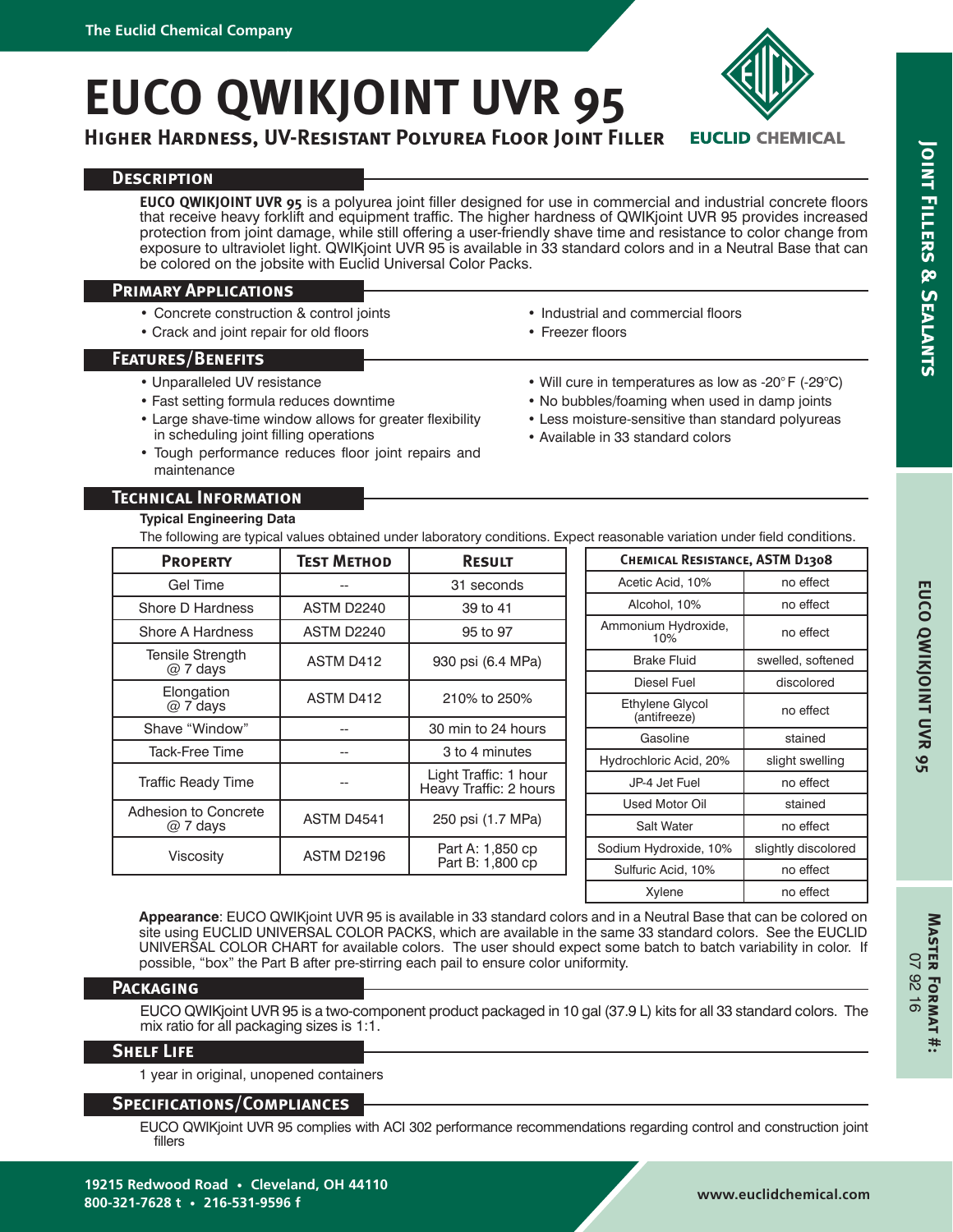# **EUCO QWIKJOINT UVR 95**

**Higher Hardness, UV-Resistant Polyurea Floor Joint Filler**

# **Description**

**EUCO QWIKJOINT UVR 95** is a polyurea joint filler designed for use in commercial and industrial concrete floors that receive heavy forklift and equipment traffic. The higher hardness of QWIKjoint UVR 95 provides increased protection from joint damage, while still offering a user-friendly shave time and resistance to color change from exposure to ultraviolet light. QWIKjoint UVR 95 is available in 33 standard colors and in a Neutral Base that can be colored on the jobsite with Euclid Universal Color Packs.

## **Primary Applications**

- Concrete construction & control joints
- Crack and joint repair for old floors

# **Features/Benefits**

- Unparalleled UV resistance
- Fast setting formula reduces downtime
- Large shave-time window allows for greater flexibility in scheduling joint filling operations
- Tough performance reduces floor joint repairs and maintenance
- Industrial and commercial floors
- Freezer floors
- Will cure in temperatures as low as -20° F (-29°C)
- No bubbles/foaming when used in damp joints
- Less moisture-sensitive than standard polyureas
- Available in 33 standard colors

## **Technical Information**

#### **Typical Engineering Data**

The following are typical values obtained under laboratory conditions. Expect reasonable variation under field conditions.

| <b>PROPERTY</b>               | <b>TEST METHOD</b> | <b>RESULT</b>                                   |  | <b>CHEMICAL RESISTANCE, ASTM D1308</b> |                     |  |
|-------------------------------|--------------------|-------------------------------------------------|--|----------------------------------------|---------------------|--|
| <b>Gel Time</b>               |                    | 31 seconds                                      |  | Acetic Acid, 10%                       | no effect           |  |
| Shore D Hardness              | <b>ASTM D2240</b>  | 39 to 41                                        |  | Alcohol, 10%                           | no effect           |  |
| Shore A Hardness              | <b>ASTM D2240</b>  | 95 to 97                                        |  | Ammonium Hydroxide,<br>10%             | no effect           |  |
| Tensile Strength<br>$@7$ days | ASTM D412          | 930 psi (6.4 MPa)                               |  | <b>Brake Fluid</b>                     | swelled, softened   |  |
|                               |                    |                                                 |  | Diesel Fuel                            | discolored          |  |
| Elongation<br>$@7$ days       | ASTM D412          | 210% to 250%                                    |  | Ethylene Glycol<br>(antifreeze)        | no effect           |  |
| Shave "Window"                |                    | 30 min to 24 hours                              |  | Gasoline                               | stained             |  |
| Tack-Free Time                | --                 | 3 to 4 minutes                                  |  |                                        |                     |  |
|                               |                    |                                                 |  | Hydrochloric Acid, 20%                 | slight swelling     |  |
| Traffic Ready Time            |                    | Light Traffic: 1 hour<br>Heavy Traffic: 2 hours |  | JP-4 Jet Fuel                          | no effect           |  |
| <b>Adhesion to Concrete</b>   | <b>ASTM D4541</b>  |                                                 |  | <b>Used Motor Oil</b>                  | stained             |  |
| $@7$ days                     |                    | 250 psi (1.7 MPa)                               |  | <b>Salt Water</b>                      | no effect           |  |
| Viscosity                     | <b>ASTM D2196</b>  | Part A: 1,850 cp                                |  | Sodium Hydroxide, 10%                  | slightly discolored |  |
|                               |                    | Part B: 1,800 cp                                |  | Sulfuric Acid, 10%                     | no effect           |  |

**Appearance**: EUCO QWIKjoint UVR 95 is available in 33 standard colors and in a Neutral Base that can be colored on site using EUCLID UNIVERSAL COLOR PACKS, which are available in the same 33 standard colors. See the EUCLID UNIVERSAL COLOR CHART for available colors. The user should expect some batch to batch variability in color. If possible, "box" the Part B after pre-stirring each pail to ensure color uniformity.

#### **Packaging**

EUCO QWIKjoint UVR 95 is a two-component product packaged in 10 gal (37.9 L) kits for all 33 standard colors. The mix ratio for all packaging sizes is 1:1.

#### **Shelf Life**

1 year in original, unopened containers

# **Specifications/Compliances**

EUCO QWIKjoint UVR 95 complies with ACI 302 performance recommendations regarding control and construction joint fillers

Xylene | no effect

**EUCLID CHEMICAL** 



**Master Format #:** 07 92 16